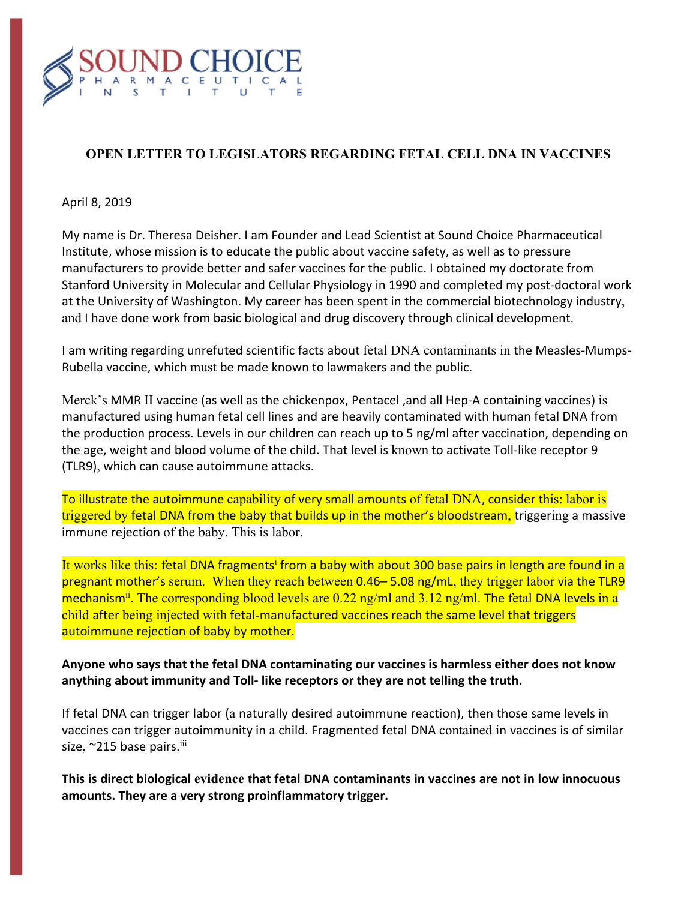

# **OPEN LETTER TO LEGISLATORS REGARDING FETAL CELL DNA IN VACCINES**

#### April 8, 2019

My name is Dr. Theresa Deisher. I am Founder and Lead Scientist at Sound Choice Pharmaceutical Institute, whose mission is to educate the public about vaccine safety, as well as to pressure manufacturers to provide better and safer vaccines for the public. I obtained my doctorate from Stanford University in Molecular and Cellular Physiology in 1990 and completed my post-doctoral work at the University of Washington. My career has been spent in the commercial biotechnology industry, and I have done work from basic biological and drug discovery through clinical development.

I am writing regarding unrefuted scientific facts about fetal DNA contaminants in the Measles-Mumps-Rubella vaccine, which must be made known to lawmakers and the public.

Merck's MMR II vaccine (as well as the chickenpox, Pentacel ,and all Hep-A containing vaccines) is manufactured using human fetal cell lines and are heavily contaminated with human fetal DNA from the production process. Levels in our children can reach up to 5 ng/ml after vaccination, depending on the age, weight and blood volume of the child. That level is known to activate Toll-like receptor 9 (TLR9), which can cause autoimmune attacks.

To illustrate the autoimmune capability of very small amounts of fetal DNA, consider this: labor is triggered by fetal DNA from the baby that builds up in the mother's bloodstream, triggering a massive immune rejection of the baby. This is labor.

It works like this: fetal DNA fragments<sup>i</sup> from a baby with about 300 base pairs in length are found in a pregnant mother's serum. When they reach between 0.46– 5.08 ng/mL, they trigger labor via the TLR9 mechanism<sup>ii</sup>. The corresponding blood levels are  $0.22$  ng/ml and  $3.12$  ng/ml. The fetal DNA levels in a child after being injected with fetal-manufactured vaccines reach the same level that triggers autoimmune rejection of baby by mother.

### **Anyone who says that the fetal DNA contaminating our vaccines is harmless either does not know anything about immunity and Toll- like receptors or they are not telling the truth.**

If fetal DNA can trigger labor (a naturally desired autoimmune reaction), then those same levels in vaccines can trigger autoimmunity in a child. Fragmented fetal DNA contained in vaccines is of similar size, ~215 base pairs.<sup>iii</sup>

**This is direct biological evidence that fetal DNA contaminants in vaccines are not in low innocuous amounts. They are a very strong proinflammatory trigger.**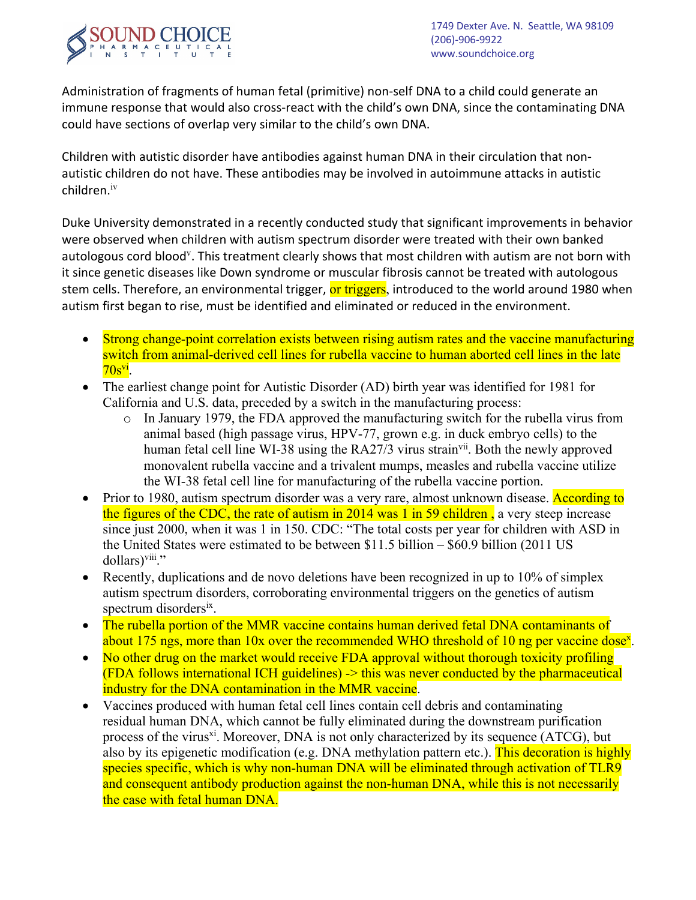

Administration of fragments of human fetal (primitive) non-self DNA to a child could generate an immune response that would also cross-react with the child's own DNA, since the contaminating DNA could have sections of overlap very similar to the child's own DNA.

Children with autistic disorder have antibodies against human DNA in their circulation that nonautistic children do not have. These antibodies may be involved in autoimmune attacks in autistic children. iv

Duke University demonstrated in a recently conducted study that significant improvements in behavior were observed when children with autism spectrum disorder were treated with their own banked autologous cord blood<sup>y</sup>. This treatment clearly shows that most children with autism are not born with it since genetic diseases like Down syndrome or muscular fibrosis cannot be treated with autologous stem cells. Therefore, an environmental trigger, or triggers, introduced to the world around 1980 when autism first began to rise, must be identified and eliminated or reduced in the environment.

- Strong change-point correlation exists between rising autism rates and the vaccine manufacturing switch from animal-derived cell lines for rubella vaccine to human aborted cell lines in the late  $70s^{vi}$ .
- The earliest change point for Autistic Disorder (AD) birth year was identified for 1981 for California and U.S. data, preceded by a switch in the manufacturing process:
	- o In January 1979, the FDA approved the manufacturing switch for the rubella virus from animal based (high passage virus, HPV-77, grown e.g. in duck embryo cells) to the human fetal cell line WI-38 using the RA27/3 virus strain<sup>vii</sup>. Both the newly approved monovalent rubella vaccine and a trivalent mumps, measles and rubella vaccine utilize the WI-38 fetal cell line for manufacturing of the rubella vaccine portion.
- Prior to 1980, autism spectrum disorder was a very rare, almost unknown disease. According to the figures of the CDC, the rate of autism in 2014 was 1 in 59 children, a very steep increase since just 2000, when it was 1 in 150. CDC: "The total costs per year for children with ASD in the United States were estimated to be between \$11.5 billion – \$60.9 billion (2011 US dollars)<sup>viii</sup>."
- Recently, duplications and de novo deletions have been recognized in up to 10% of simplex autism spectrum disorders, corroborating environmental triggers on the genetics of autism spectrum disordersix.
- The rubella portion of the MMR vaccine contains human derived fetal DNA contaminants of about 175 ngs, more than 10x over the recommended WHO threshold of 10 ng per vaccine dose<sup>x</sup>.
- No other drug on the market would receive FDA approval without thorough toxicity profiling (FDA follows international ICH guidelines) -> this was never conducted by the pharmaceutical industry for the DNA contamination in the MMR vaccine.
- Vaccines produced with human fetal cell lines contain cell debris and contaminating residual human DNA, which cannot be fully eliminated during the downstream purification process of the virus<sup>xi</sup>. Moreover, DNA is not only characterized by its sequence (ATCG), but also by its epigenetic modification (e.g. DNA methylation pattern etc.). This decoration is highly species specific, which is why non-human DNA will be eliminated through activation of TLR9 and consequent antibody production against the non-human DNA, while this is not necessarily the case with fetal human DNA.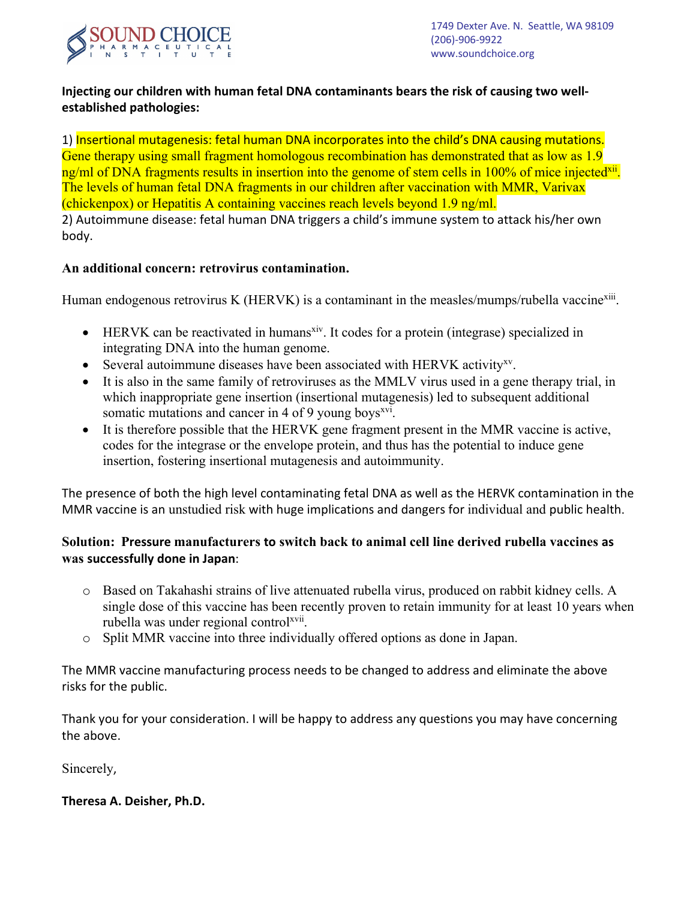

# **Injecting our children with human fetal DNA contaminants bears the risk of causing two wellestablished pathologies:**

1) Insertional mutagenesis: fetal human DNA incorporates into the child's DNA causing mutations. Gene therapy using small fragment homologous recombination has demonstrated that as low as 1.9 ng/ml of DNA fragments results in insertion into the genome of stem cells in 100% of mice injected<sup>xii</sup>. The levels of human fetal DNA fragments in our children after vaccination with MMR, Varivax (chickenpox) or Hepatitis A containing vaccines reach levels beyond 1.9 ng/ml. 2) Autoimmune disease: fetal human DNA triggers a child's immune system to attack his/her own body.

### **An additional concern: retrovirus contamination.**

Human endogenous retrovirus K (HERVK) is a contaminant in the measles/mumps/rubella vaccine<sup>xiii</sup>.

- $\bullet$  HERVK can be reactivated in humans<sup>xiv</sup>. It codes for a protein (integrase) specialized in integrating DNA into the human genome.
- Several autoimmune diseases have been associated with HERVK activity<sup>xy</sup>.
- It is also in the same family of retroviruses as the MMLV virus used in a gene therapy trial, in which inappropriate gene insertion (insertional mutagenesis) led to subsequent additional somatic mutations and cancer in 4 of 9 young boys $^{xvi}$ .
- It is therefore possible that the HERVK gene fragment present in the MMR vaccine is active, codes for the integrase or the envelope protein, and thus has the potential to induce gene insertion, fostering insertional mutagenesis and autoimmunity.

The presence of both the high level contaminating fetal DNA as well as the HERVK contamination in the MMR vaccine is an unstudied risk with huge implications and dangers for individual and public health.

## **Solution: Pressure manufacturers to switch back to animal cell line derived rubella vaccines as was successfully done in Japan**:

- o Based on Takahashi strains of live attenuated rubella virus, produced on rabbit kidney cells. A single dose of this vaccine has been recently proven to retain immunity for at least 10 years when rubella was under regional control<sup>xvii</sup>.
- o Split MMR vaccine into three individually offered options as done in Japan.

The MMR vaccine manufacturing process needs to be changed to address and eliminate the above risks for the public.

Thank you for your consideration. I will be happy to address any questions you may have concerning the above.

Sincerely,

#### **Theresa A. Deisher, Ph.D.**